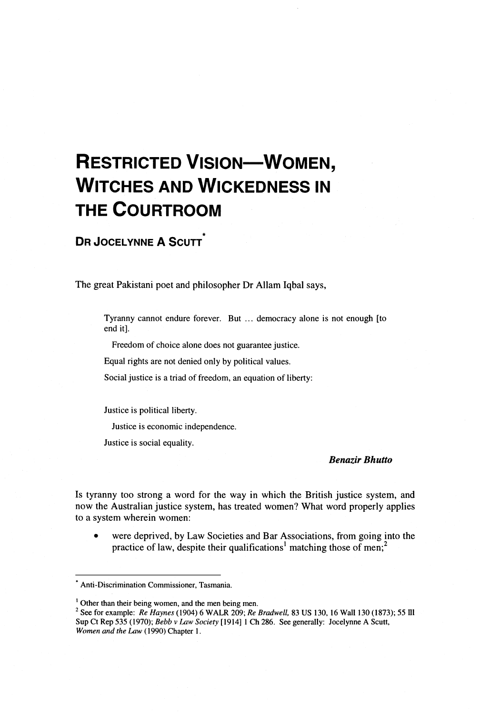# **RESTRICTED VISION-WOMEN, WITCHES AND WICKEDNESS IN THE COURTROOM**

## **DR JOCELYNNE A SCUTT**

The great Pakistani poet and philosopher Dr Allam Iqbal says,

Tyranny cannot endure forever. But ... democracy alone is not enough [to end it].

Freedom of choice alone does not guarantee justice.

Equal rights are not denied only by political values.

Social justice is a triad of freedom, an equation of liberty:

Justice is political liberty.

Justice is economic independence.

Justice is social equality.

## *Benazir Bhutto*

Is tyranny too strong a word for the way in which the British justice system, and now the Australian justice system, has treated women? What word properly applies to a system wherein women:

were deprived, by Law Societies and Bar Associations, from going into the practice of law, despite their qualifications<sup>1</sup> matching those of men;<sup>2</sup>

<sup>\*</sup> Anti-Discrimination Commissioner, Tasmania.

<sup>&</sup>lt;sup>1</sup> Other than their being women, and the men being men.

See for example: Re *Haynes* (1904) 6 WALR 209; Re *Bradwell,* 83 US 130, 16 Wall 130 (1873); 55 **Ill**  Sup Ct Rep 535 (1970); Bebb v *IAW Society* [I9141 *1* Ch 286. See generally: Jocelynne A Scutt, Women *and the* **Law** (1990) Chapter I.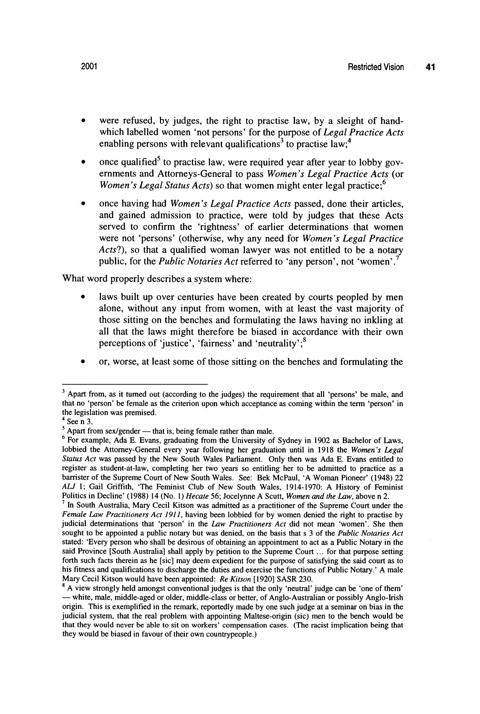- were refused, by judges, the right to practise law, by a sleight of handwhich labelled women 'not persons' for the purpose of *Legal Practice Acts*  enabling persons with relevant qualifications<sup>3</sup> to practise law;<sup>4</sup>
- once qualified<sup>5</sup> to practise law, were required year after year to lobby governments and Attorneys-General to pass *Women's Legal Practice Acts* (or *Women's Legal Status Acts*) so that women might enter legal practice;<sup>6</sup>
- once having had *Women's Legal Practice Acts* passed, done their articles, and gained admission to practice, were told by judges that these Acts served to confirm the 'rightness' of earlier determinations that women were not 'persons' (otherwise, why any need for *Women's Legal Practice Acts?),* so that a qualified woman lawyer was not entitled to be a notary public, for the *Public Notaries Act* referred to 'any person', not 'women'.<sup>7</sup>

What word properly describes a system where:

- laws built up over centuries have been created by courts peopled by men alone, without any input from women, with at least the vast majority of those sitting on the benches and formulating the laws having no inkling at all that the laws might therefore be biased in accordance with their own perceptions of 'justice', 'fairness' and 'neutrality'; $<sup>8</sup>$ </sup>
- or, worse, at least some of those sitting on the benches and formulating the

<sup>&</sup>lt;sup>3</sup> Apart from, as it turned out (according to the judges) the requirement that all 'persons' be male, and that no 'person' be female as the criterion upon which acceptance as coming within the term 'person' in the legislation was premised.

 $4$  See n 3.

 $<sup>5</sup>$  Apart from sex/gender - that is, being female rather than male.</sup>

For example, Ada E. Evans, graduating from the University of Sydney in 1902 as Bachelor of Laus, lobbied the Attomey-General every year following her graduation until in 1918 the *Women's Legal Status Act* was passed by the New South Wales Parliament. Only then was Ada E. Evans entitled to register as student-at-law, completing her two years so entitling her to be admitted to practice as a barrister of the Supreme Court of New South Wales. See: Bek McPaul, 'A Woman Pioneer' (1948) 22 ALJ 1; Gail Griffith, 'The Feminist Club of New South Wales, 1914-1970: A History of Feminist Politics in Decline' (1988) 14 (No. 1) *Hecate* 56; Jocelynne A Scutt, *Women and the* **Law,** above n 2.

 $<sup>7</sup>$  In South Australia, Mary Cecil Kitson was admitted as a practitioner of the Supreme Court under the</sup> *Female* **Law** *Practitioners Act* **1911,** having been lobbied for by women denied the right to practise by judicial determinations that 'person' in the **Law** *Practitioners Act* did not mean 'women'. She then sought to be appointed a public notary but was denied, on the basis that s *3* of the *Public Notaries Act*  stated: 'Every person who shall be desirous of obtaining an appointment to act as a Public Notary in the said Province [South Australia] shall apply by petition to the Supreme Court ... for that purpose setting forth such facts therein as he [sic] may deem expedient for the purpose of satisfying the said court as to his fitness and qualifications to discharge the duties and exercise the functions of Public Notary.' A male Mary Cecil Kitson would have been appointed: *Re Kitson* [1920] SASR 230.

A view strongly held amongst conventional judges is that the only 'neutral' judge can be 'one of them' Mary Cecil Kitson would have been appointed: *Re Kitson* [1920] SASR 230.<br><sup>3</sup> A view strongly held amongst conventional judges is that the only 'neutral' judge can be 'one of them'<br>— white, male, middle-aged or older, midd origin. This is exemplified in the remark, reportedly made by one such judge at a seminar on bias in the judicial system, that the real problem with appointing Maltese-origin (sic) men to the bench would be that they would never be able to sit on workers' compensation cases. (The racist implication being that they would be biased in favour of their own countrypeople.)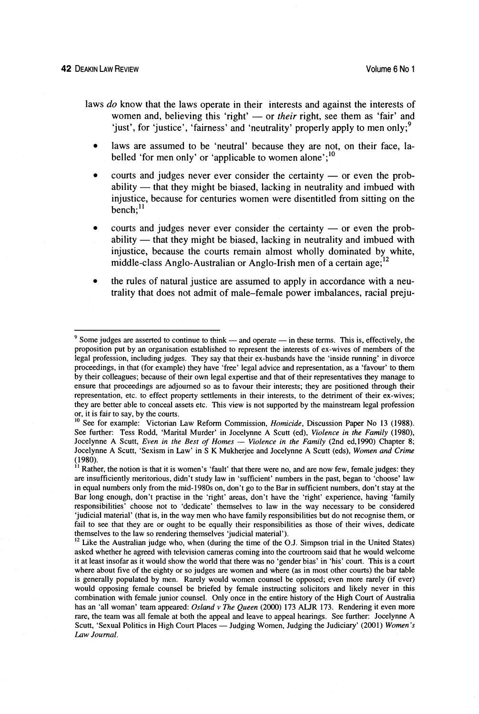- laws do know that the laws operate in their interests and against the interests of women and, believing this 'right'  $-$  or *their* right, see them as 'fair' and 'just', for 'justice', 'fairness' and 'neutrality' properly apply to men only;<sup>9</sup>
	- laws are assumed to be 'neutral' because they are not, on their face, labelled 'for men only' or 'applicable to women alone': $^{10}$
	- courts and judges never ever consider the certainty  $-$  or even the probability  $-$  that they might be biased, lacking in neutrality and imbued with injustice, because for centuries women were disentitled from sitting on the  $b$ ench; $^{11}$
	- courts and judges never ever consider the certainty  $-$  or even the prob $a$ bility  $\frac{a}{b}$  that they might be biased, lacking in neutrality and imbued with injustice, because the courts remain almost wholly dominated by white, middle-class Anglo-Australian or Anglo-Irish men of a certain age;<sup>12</sup>
	- the rules of natural justice are assumed to apply in accordance with a neutrality that does not admit of male-female power imbalances, racial preju-

 $9$  Some judges are asserted to continue to think — and operate — in these terms. This is, effectively, the proposition put by an organisation established to represent the interests of ex-wives of members of the legal profession, including judges. They say that their ex-husbands have the 'inside running' in divorce proceedings, in that (for example) they have 'free' legal advice and representation, as a 'favour' to them by their colleagues; because of their own legal expertise and that of their representatives they manage to ensure that proceedings are adjourned so as to favour their interests; they are positioned through their representation, etc. to effect property settlements in their interests, to the detriment of their ex-wives; they are better able to conceal assets etc. This view is not supported by the mainstream legal profession or, it is fair to say, by the courts.

<sup>&</sup>lt;sup>10</sup> See for example: Victorian Law Reform Commission, *Homicide*, Discussion Paper No 13 (1988). See further: Tess Rodd, 'Marital Murder' in Jocelynne *A* Scutt (ed), *Violence* in *the Family* (1980), Jocelynne A Scutt, *Even in the Best of Homes — Violence in the Family* (2nd ed,1990) Chapter 8; Jocelynne **A** Scutt, 'Sexism in Law' in S K Mukherjee and Jocelynne *A* Scutt (eds), *Women and Crime*   $(1980).$ 

<sup>&</sup>lt;sup>11</sup> Rather, the notion is that it is women's 'fault' that there were no, and are now few, female judges: they are insufficiently meritorious, didn't study law in 'sufficient' numbers in the past, began to 'choose' law in equal numbers only from the mid-1980s on, don't go to the Bar in sufficient numbers, don't stay at the Bar long enough, don't practise in the 'right' areas, don't have the 'right' experience, having 'family responsibilities' choose not to 'dedicate' themselves to law in the way necessary to be considered 'judicial material' (that is, in the way men who have family responsibilities but do not recognise them, or fail to see that they are or ought to be equally their responsibilities as those of their wives, dedicate themselves to the law so rendering themselves 'judicial material').

<sup>&</sup>lt;sup>12</sup> Like the Australian judge who, when (during the time of the O.J. Simpson trial in the United States) asked whether he agreed with television cameras coming into the courtroom said that he would welcome it at least insofar as it would show the world that there was no 'gender bias' in 'his' court. This is a court where about five of the eighty or so judges are women and where (as in most other courts) the bar table is generally populated by men. Rarely would women counsel be opposed; even more rarely (if ever) would opposing female counsel be briefed by female instructing solicitors and likely never in this combination with female junior counsel. Only once in the entire history of the High Court of Australia has an 'all woman' team appeared: *Osland* v *The Queen* (2000) *173* **ALJR** 173. Rendering it even more rare, the team was all female at both the appeal and leave to appeal hearings. See further: Jocelynne A Scutt, 'Sexual Politics in High Court Places - Judging Women, Judging the Judiciary' (2001) *Women's* Law Journal.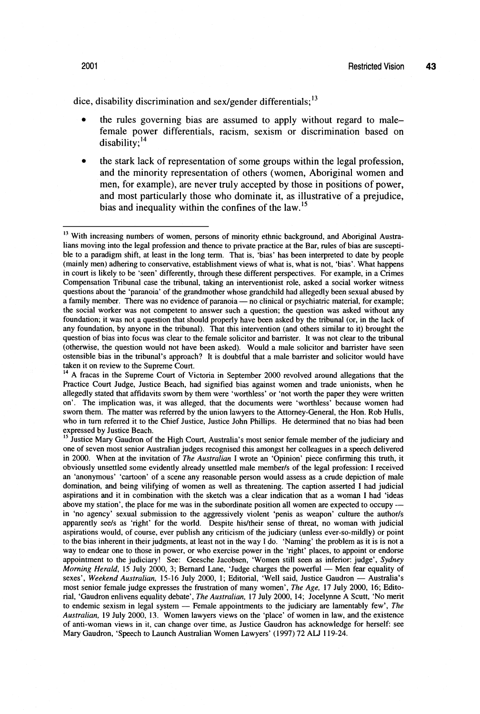dice, disability discrimination and sex/gender differentials; $13$ 

- the rules governing bias are assumed to apply without regard to malefemale power differentials, racism, sexism or discrimination based on  $disability$ ;<sup>14</sup>
- the stark lack of representation of some groups within the legal profession, and the minority representation of others (women, Aboriginal women and men, for example), are never truly accepted by those in positions of power, and most particularly those who dominate it, as illustrative of a prejudice, bias and inequality within the confines of the law.<sup>15</sup>

<sup>&</sup>lt;sup>13</sup> With increasing numbers of women, persons of minority ethnic background, and Aboriginal Australians moving into the legal profession and thence to private practice at the Bar, rules of bias are susceptible to a paradigm shift, at least in the long term. That is, 'bias' has been interpreted to date by people (mainly men) adhering to conservative, establishment views of what is, what is not, 'bias'. What happens in court is likely to be 'seen' differently, through these different perspectives. For example, in a Crimes Compensation Tribunal case the tribunal, taking an interventionist role, asked a social worker witness questions about the 'paranoia' of the grandmother whose grandchild had allegedly been sexual abused by a family member. There was no evidence of paranoia - no clinical or psychiatric material, for example; the social worker was not competent to answer such a question; the question was asked without any foundation; it was not a question that should properly have been asked by the tribunal (or, in the lack of any foundation, by anyone in the tribunal). That this intervention (and others similar to it) brought the question of bias into focus was clear to the female solicitor and barrister. It was not clear to the tribunal (otherwise, the question would not have been asked). Would a male solicitor and barrister have seen ostensible bias in the tribunal's approach? It is doubtful that a male banister and solicitor would have taken it on review to the Supreme Court.

<sup>&</sup>lt;sup>14</sup> A fracas in the Supreme Court of Victoria in September 2000 revolved around allegations that the Practice Court Judge, Justice Beach, had signified bias against women and trade unionists, when he allegedly stated that affidavits swom by them were 'worthless' or 'not worth the paper they were written on'. The implication was, it was alleged, that the documents were 'worthless' because women had sworn them. The matter was referred by the union lawyers to the Attorney-General, the Hon. Rob Hulls, who in turn referred it to the Chief Justice, Justice John Phillips. He determined that no bias had been expressed by Justice Beach.

<sup>&</sup>lt;sup>15</sup> Justice Mary Gaudron of the High Court, Australia's most senior female member of the judiciary and one of seven most senior Australian judges recognised this amongst her colleagues in a speech delivered in 2000. When at the invitation of *The Australian* I wrote an 'Opinion' piece confirming this truth, it obviously unsettled some evidently already unsettled male member/s of the legal profession: I received an 'anonymous' 'cartoon' of a scene any reasonable person would assess as a crude depiction of male domination, and being vilifying of women as well as threatening. The caption asserted I had judicial aspirations and it in combination with the sketch was a clear indication that as a woman I had 'ideas above my station', the place for me was in the subordinate position all women are expected to occupy - in 'no agency' sexual submission to the aggressively violent 'penis as weapon' culture the author/s apparently see/s as 'right' for the world. Despite his/their sense of threat, no woman with judicial aspirations would, of course, ever publish any criticism of the judiciary (unless ever-so-mildly) or point to the bias inherent in their judgments, at least not in the way I do. 'Naming' the problem as it is is not a way to endear one to those in power, or who exercise power in the 'right' places, to appoint or endorse appointment to the judiciary! See: Geesche Jacobsen, 'Women still seen as inferior: judge', *Sydney*  way to endear one to those in power, or who exercise power in the 'right' places, to appoint or endorse appointment to the judiciary! See: Geesche Jacobsen, 'Women still seen as inferior: judge', *Sydney Morning Herald*, 1 Morning Herald, 15 July 2000, 3; Bernard Lane, 'Judge charges the powerful — Men fear equality of sexes', Weekend Australian, 15-16 July 2000, 1; Editorial, 'Well said, Justice Gaudron — Australia's most senior female judge expresses the frustration of many women', *The Age,* 17 July 2000, 16; Editorial, 'Gaudron enlivens equality debate', *The Australian,* 17 July 2000, 14; Jocelynne A Scutt, 'No merit to endemic sexism in legal system - Female appointments to the judiciary are lamentably few', *The Australian,* 19 July 2000, 13. Women lawyers views on the 'place' of women in law, and the existence of anti-woman views in it, can change over time. as Justice Gaudron has acknowledge for herself: see Mary Gaudron, 'Speech to Launch Australian Women Lawyers' (1997) 72 ALJ 119-24.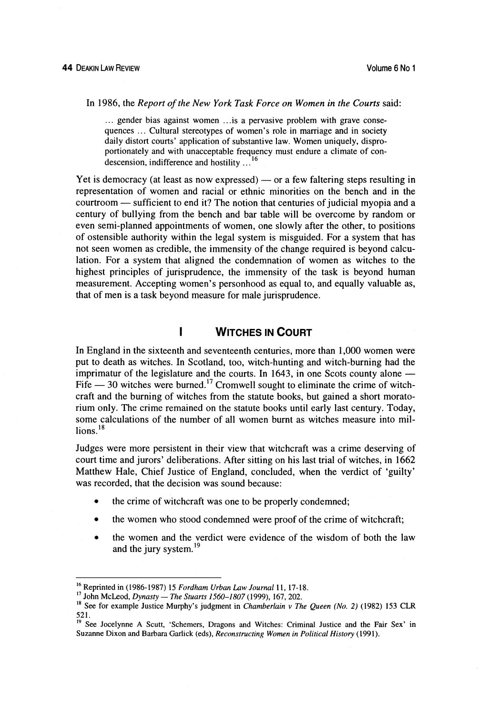In 1986, the *Report of the New York Task Force on Women in the Courts* said:

... gender bias against women ... is a pervasive problem with grave consequences ... Cultural stereotypes of women's role in marriage and in society daily distort courts' application of substantive law. Women uniquely, disproportionately and with unacceptable frequency must endure a climate of condescension, indifference and hostility . . . **<sup>16</sup>**

Yet is democracy (at least as now expressed)  $-$  or a few faltering steps resulting in representation of women and racial or ethnic minorities on the bench and in the Yet is democracy (at least as now expressed) — or a few faltering steps resulting in representation of women and racial or ethnic minorities on the bench and in the courtroom — sufficient to end it? The notion that centur century of bullying from the bench and bar table will be overcome by random or even semi-planned appointments of women, one slowly after the other, to positions of ostensible authority within the legal system is misguided. For a system that has not seen women as credible, the immensity of the change required is beyond calculation. For a system that aligned the condemnation of women as witches to the highest principles of jurisprudence, the immensity of the task is beyond human measurement. Accepting women's personhood as equal to, and equally valuable as, that of men is a task beyond measure for male jurisprudence.

#### I **WITCHES IN COURT**

In England in the sixteenth and seventeenth centuries, more than 1,000 women were put to death as witches. In Scotland, too, witch-hunting and witch-burning had the imprimatur of the legislature and the courts. In 1643, in one Scots county alone  $-$ Fife  $-30$  witches were burned.<sup>17</sup> Cromwell sought to eliminate the crime of witchcraft and the burning of witches from the statute books, but gained a short moratorium only. The crime remained on the statute books until early last century. Today, some calculations of the number of all women burnt as witches measure into mil- $\ln$ ns.<sup>18</sup>

Judges were more persistent in their view that witchcraft was a crime deserving of court time and jurors' deliberations. After sitting on his last trial of witches, in 1662 Matthew Hale, Chief Justice of England, concluded, when the verdict of 'guilty' was recorded, that the decision was sound because:

- the crime of witchcraft was one to be properly condemned;  $\bullet$
- the women who stood condemned were proof of the crime of witchcraft;
- the women and the verdict were evidence of the wisdom of both the law  $\bullet$ and the jury system.<sup>19</sup>

**Ib** Reprinted in (1986-1987) 15 *Fordham Urban Law Journal* 11, 17-18.

<sup>&</sup>lt;sup>18</sup> See for example Justice Murphy's judgment in *Chamberlain v The Queen (No. 2)* (1982) 153 CLR 521.

<sup>&</sup>lt;sup>19</sup> See Jocelynne A Scutt, 'Schemers, Dragons and Witches: Criminal Justice and the Fair Sex' in Suzanne Dixon and Barbara Garlick (eds), *Reconstructing Women in Political History* (1991).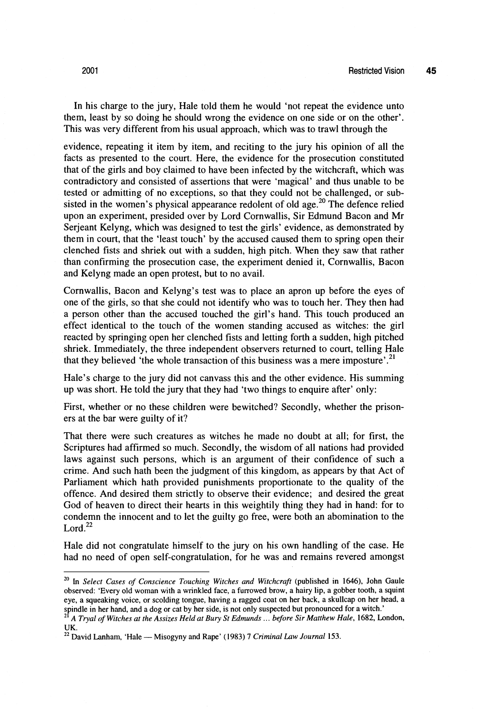In his charge to the jury, Hale told them he would 'not repeat the evidence unto them, least by so doing he should wrong the evidence on one side or on the other'. This was very different from his usual approach, which was to trawl through the

evidence, repeating it item by item, and reciting to the jury his opinion of all the facts as presented to the court. Here, the evidence for the prosecution constituted that of the girls and boy claimed to have been infected by the witchcraft, which was contradictory and consisted of assertions that were 'magical' and thus unable to be tested or admitting of no exceptions, so that they could not be challenged, or subsisted in the women's physical appearance redolent of old age.<sup>20</sup> The defence relied upon an experiment, presided over by Lord Cornwallis, Sir Edmund Bacon and Mr Serjeant Kelyng, which was designed to test the girls' evidence, as demonstrated by them in court, that the 'least touch' by the accused caused them to spring open their clenched fists and shriek out with a sudden, high pitch. When they saw that rather than confirming the prosecution case, the experiment denied it, Cornwallis, Bacon and Kelyng made an open protest, but to no avail.

Cornwallis, Bacon and Kelyng's test was to place an apron up before the eyes of one of the girls, so that she could not identify who was to touch her. They then had a person other than the accused touched the girl's hand. This touch produced an effect identical to the touch of the women standing accused as witches: the girl reacted by springing open her clenched fists and letting forth a sudden, high pitched shriek. Immediately, the three independent observers returned to court, telling Hale that they believed 'the whole transaction of this business was a mere imposture'.<sup>21</sup>

Hale's charge to the jury did not canvass this and the other evidence. His summing up was short. He told the jury that they had 'two things to enquire after' only:

First, whether or no these children were bewitched? Secondly, whether the prisoners at the bar were guilty of it?

That there were such creatures as witches he made no doubt at all; for first, the Scriptures had affirmed so much. Secondly, the wisdom of all nations had provided laws against such persons, which is an argument of their confidence of such a crime. And such hath been the judgment of this kingdom, as appears by that Act of Parliament which hath provided punishments proportionate to the quality of the offence. And desired them strictly to observe their evidence; and desired the great God of heaven to direct their hearts in this weightily thing they had in hand: for to condemn the innocent and to let the guilty go free, were both an abomination to the  $Lord.<sup>22</sup>$ 

Hale did not congratulate himself to the jury on his own handling of the case. He had no need of open self-congratulation, for he was and remains revered amongst

**<sup>&#</sup>x27;O** In *Select Cases* **cf** *Conscience Touching Witches and Witchcraft* (published in 1646), John Gaule observed: 'Every old woman with a wrinkled face, a furrowed brow, a hairy lip, a gobber tooth, a squint eye, a squeaking voice, or scolding tongue, having a ragged coat on her back, a skullcap on her head. a spindle in her hand, and a dog or cat by her side, is not only suspected but pronounced for a witch.'

**<sup>&#</sup>x27;I** *A Tryal of Witches at the Assizes Held at Bury St Edmunds* . . . *before Sir Matthew Hale,* 1682, London, *UK.* 

 $^{22}$  David Lanham, 'Hale — Misogyny and Rape' (1983) 7 *Criminal Law Journal* 153.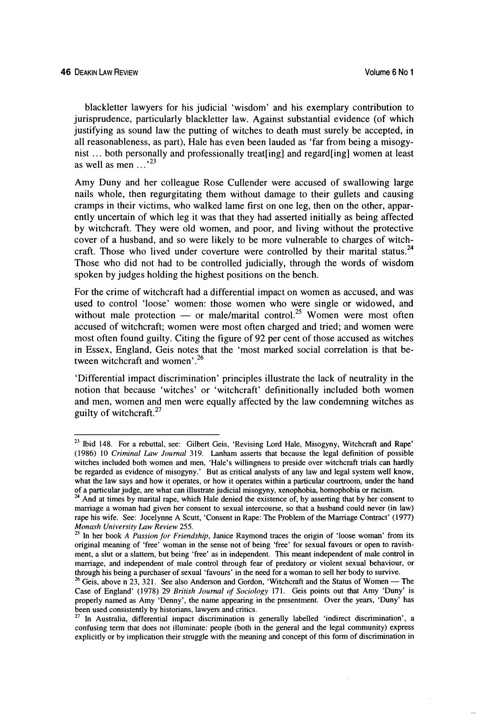blackletter lawyers for his judicial 'wisdom' and his exemplary contribution to jurisprudence, particularly blackletter law. Against substantial evidence (of which justifying as sound law the putting of witches to death must surely be accepted, in all reasonableness, as part), Hale has even been lauded as 'far from being a misogynist ... both personally and professionally treat [ing] and regard[ing] women at least as well as men  $\ldots$ <sup>23</sup>

Amy Duny and her colleague Rose Cullender were accused of swallowing large nails whole, then regurgitating them without damage to their gullets and causing cramps in their victims, who walked lame first on one leg, then on the other, apparently uncertain of which leg it was that they had asserted initially as being affected by witchcraft. They were old women, and poor, and living without the protective cover of a husband, and so were likely to be more vulnerable to charges of witchcraft. Those who lived under coverture were controlled by their marital status.<sup>24</sup> Those who did not had to be controlled judicially, through the words of wisdom spoken by judges holding the highest positions on the bench.

For the crime of witchcraft had a differential impact on women as accused, and was used to control 'loose' women: those women who were single or widowed, and without male protection  $-$  or male/marital control.<sup>25</sup> Women were most often accused of witchcraft; women were most often charged and tried; and women were most often found guilty. Citing the figure of 92 per cent of those accused as witches in Essex, England, Geis notes that the 'most marked social correlation is that between witchcraft and women'.<sup>26</sup>

'Differential impact discrimination' principles illustrate the lack of neutrality in the notion that because 'witches' or 'witchcraft' definitionally included both women and men, women and men were equally affected by the law condemning witches as guilty of witchcraft. $27$ 

<sup>&</sup>lt;sup>23</sup> Ibid 148. For a rebuttal, see: Gilbert Geis, 'Revising Lord Hale, Misogyny, Witchcraft and Rape' (1986) 10 *Criminal Law Journal* 319. Lanham asserts that because the legal definition of possible witches included both women and men, 'Hale's willingness to preside over witchcraft trials can hardly be regarded as evidence of misogyny.' But as critical analysts of any law and legal system well know, what the law says and how it operates, or how it operates within a particular courtroom, under the hand of a particular judge, are what can illustrate judicial misogyny, xenophobia, homophobia or racism.

<sup>&</sup>lt;sup>24</sup> And at times by marital rape, which Hale denied the existence of, by asserting that by her consent to marriage a woman had given her consent to sexual intercourse, so that a husband could never (in law) rape his wife. See: Jocelynne A Scutt, 'Consent in Rape: The Problem of the Maniage Contract' (1977) *Monash University Law Review* **255.** 

**<sup>2</sup>S** In her book *A Pussion for Friendship,* Janice Raymond traces the origin of 'loose woman' from its original meaning of 'free' woman in the sense not of being 'free' for sexual favours or open to ravishment, a slut or a slattern, but being 'free' as in independent. This meant independent of male control in marriage, and independent of male control through fear of predatory or violent sexual behaviour, or through his being a purchaser of sexual 'favours' in the need for a woman to sell her body to survive.

<sup>&</sup>lt;sup>26</sup> Geis, above n 23, 321. See also Anderson and Gordon, 'Witchcraft and the Status of Women - The Case of England' (1978) 29 *British Journal of Sociology* 171. Geis points out that Amy 'Duny' is properly named as Amy 'Denny', the name appearing in the presentment. Over the years, 'Duny' has been used consistently by historians, lawyers and critics.

**<sup>27</sup>**In Australia, differential impact discrimination is generally labelled 'indirect discrimination', a confusing term that does nor illuminate: people (both in the general and the legal community) express explicitly or by implication their struggle with the meaning and concept of this form of discrimination in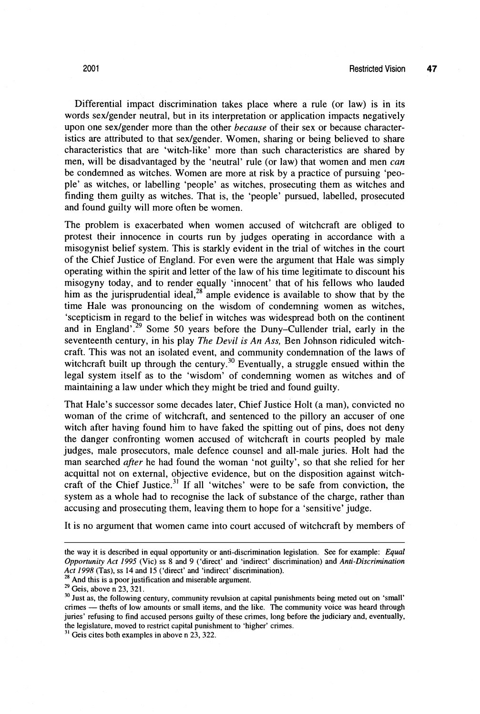Differential impact discrimination takes place where a rule (or law) is in its words sexlgender neutral, but in its interpretation or application impacts negatively upon one sexlgender more than the other *because* of their sex or because characteristics are attributed to that sex/gender. Women, sharing or being believed to share characteristics that are 'witch-like' more than such characteristics are shared by men, will be disadvantaged by the 'neutral' rule (or law) that women and men can be condemned as witches. Women are more at risk by a practice of pursuing 'people' as witches, or labelling 'people' as witches, prosecuting them as witches and finding them guilty as witches. That is, the 'people' pursued, labelled, prosecuted and found guilty will more often be women.

The problem is exacerbated when women accused of witchcraft are obliged to protest their innocence in courts run by judges operating in accordance with a misogynist belief system. This is starkly evident in the trial of witches in the court of the Chief Justice of England. For even were the argument that Hale was simply operating within the spirit and letter of the law of his time legitimate to discount his misogyny today, and to render equally 'innocent' that of his fellows who lauded him as the jurisprudential ideal,<sup>28</sup> ample evidence is available to show that by the time Hale was pronouncing on the wisdom of condemning women as witches, 'scepticism in regard to the belief in witches was widespread both on the continent and in England'.<sup>29</sup> Some 50 years before the Duny-Cullender trial, early in the seventeenth century, in his play *The* **Devil** *is An Ass,* Ben Johnson ridiculed witchcraft. This was not an isolated event, and community condemnation of the laws of witchcraft built up through the century.<sup>30</sup> Eventually, a struggle ensued within the legal system itself as to the 'wisdom' of condemning women as witches and of maintaining a law under which they might be tried and found guilty.

That Hale's successor some decades later, Chief Justice Holt (a man), convicted no woman of the crime of witchcraft, and sentenced to the pillory an accuser of one witch after having found him to have faked the spitting out of pins, does not deny the danger confronting women accused of witchcraft in courts peopled by male judges, male prosecutors, male defence counsel and all-male juries. Holt had the man searched *after* he had found the woman 'not guilty', so that she relied for her acquittal not on external, objective evidence, but on the disposition against witchcraft of the Chief Justice.<sup>31</sup> If all 'witches' were to be safe from conviction, the system as a whole had to recognise the lack of substance of the charge, rather than accusing and prosecuting them, leaving them to hope for a 'sensitive' judge.

It is no argument that women came into court accused of witchcraft by members of

the way it is described in equal opportunity or anti-discrimination legislation. See for example: *Equal Opportunity Act 1995* (Vic) ss 8 and 9 ('direct' and 'indirect' discrimination) and *Anti-Discrimination Act* 1998 **(Tas),** ss 14 and 15 ('direct' and 'indirect' discrimination).

And this is a poor justification and miserable argument.

<sup>&</sup>lt;sup>29</sup>Geis, above n 23, 321.<br><sup>30</sup>Just as, the following century, community revulsion at capital punishments being meted out on 'small' crimes - thefts of low amounts or small items, and the like. The community voice was heard through juries' refusing to find accused persons guilty of these crimes, long before the judiciary and, eventually, the legislature, moved to restrict capital punishment to 'higher' crimes.

**<sup>3&#</sup>x27;** Geis cites both examples in above n **23,322.**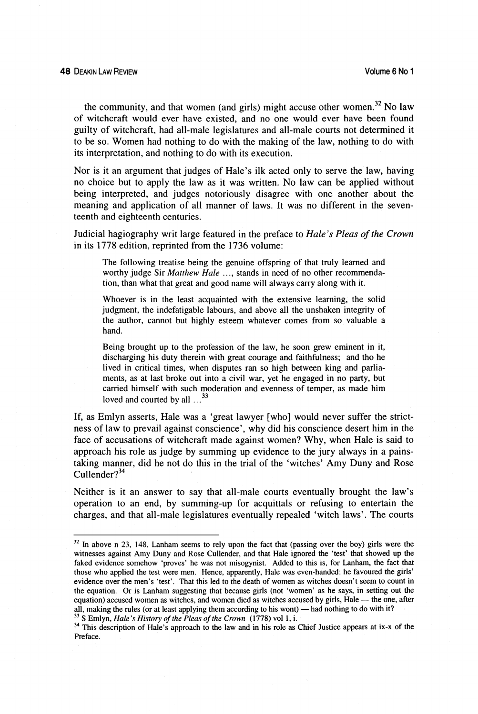the community, and that women (and girls) might accuse other women.32 No **law**  of witchcraft would ever have existed, and no one would ever have been found guilty of witchcraft, had all-male legislatures and all-male courts not determined it to be so. Women had nothing to do with the making of the law, nothing to do with its interpretation, and nothing to do with its execution.

Nor is it an argument that judges of Hale's ilk acted only to serve the law, having no choice but to apply the law as it was written. No law can be applied without being interpreted, and judges notoriously disagree with one another about the meaning and application of all manner of laws. It was no different in the seventeenth and eighteenth centuries.

Judicial hagiography writ large featured in the preface to *Hale's Pleas* of *the* **Crown**  in its 1778 edition, reprinted from the 1736 volume:

The following treatise being the genuine offspring of that truly learned and worthy judge Sir Matthew Hale ..., stands in need of no other recommendation, than what that great and good name will always carry along with it.

Whoever is in the least acquainted with the extensive learning, the solid judgment, the indefatigable labours, and above all the unshaken integrity of the author, cannot but highly esteem whatever comes from so valuable a hand.

Being brought up to the profession of the law, he soon grew eminent in it, discharging his duty therein with great courage and faithfulness; and tho he lived in critical times, when disputes ran so high between king and parliaments, as at last broke out into a civil war, yet he engaged in no party, but carried himself with such moderation and evenness of temper, as made him loved and courted by all  $\dots$ <sup>33</sup>

If, as Emlyn asserts, Hale was a 'great lawyer [who] would never suffer the strictness of law to prevail against conscience', why did his conscience desert him in the face of accusations of witchcraft made against women? Why, when Hale is said to approach his role as judge by summing up evidence to the jury always in a painstaking manner, did he not do this in the trial of the 'witches' Amy Duny and Rose  $C$ ullender $?^{34}$ 

Neither is it an answer to say that all-male courts eventually brought the law's operation to an end, by summing-up for acquittals or refusing to entertain the charges, and that all-male legislatures eventually repealed 'witch laws'. The courts

 $32$  In above n 23, 148. Lanham seems to rely upon the fact that (passing over the boy) girls were the witnesses against Amy Duny and Rose Cullender, and that Hale ignored the 'test' that showed up the faked evidence somehow 'proves' he was not misogynist. Added to this is, for Lanham, the fact that those who applied the test were men. Hence, apparently, Hale was even-handed: he favoured the girls' evidence over the men's 'test'. That this led to the death of women as witches doesn't seem to count in the equation. Or is Lanham suggesting that because girls (not 'women' as he says, in setting out the equation) accused women as witches, and women died as witches accused by girls, Hale - the one, after all, making the rules (or at least applying them according to his wont) — had nothing to do with it?

<sup>&</sup>lt;sup>33</sup> S Emlyn, *Hale's History of the Pleas of the Crown* (1778) vol 1, i.

<sup>&</sup>lt;sup>34</sup> This description of Hale's approach to the law and in his role as Chief Justice appears at ix-x of the Preface.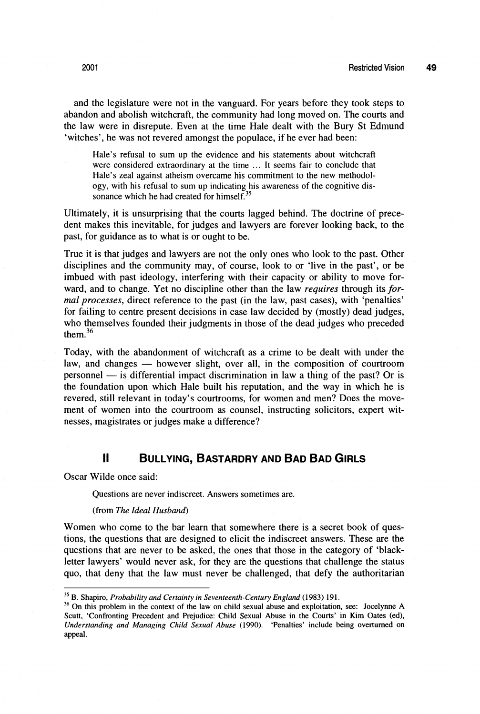and the legislature were not in the vanguard. For years before they took steps to abandon and abolish witchcraft, the community had long moved on. The courts and the law were in disrepute. Even at the time Hale dealt with the Bury St Edmund 'witches', he was not revered amongst the populace, if he ever had been:

Hale's refusal to sum up the evidence and his statements about witchcraft were considered extraordinary at the time ... It seems fair to conclude that Hale's zeal against atheism overcame his commitment to the new methodology, with his refusal to sum up indicating his awareness of the cognitive dissonance which he had created for himself.<sup>35</sup>

Ultimately, it is unsurprising that the courts lagged behind. The doctrine of precedent makes this inevitable, for judges and lawyers are forever looking back, to the past, for guidance as to what is or ought to be.

True it is that judges and lawyers are not the only ones who look to the past. Other disciplines and the community may, of course, look to or 'live in the past', or be imbued with past ideology, interfering with their capacity or ability to move forward, and to change. Yet no discipline other than the law *requires* through its *for*mal *processes,* direct reference to the past (in the law, past cases), with 'penalties' for failing to centre present decisions in case law decided by (mostly) dead judges, who themselves founded their judgments in those of the dead judges who preceded them.36

Today, with the abandonment of witchcraft as a crime to be dealt with under the Today, with the abandonment of witchcraft as a crime to be dealt with under the law, and changes — however slight, over all, in the composition of courtroom Today, with the abandonment of witchcraft as a crime to be dealt with under the law, and changes — however slight, over all, in the composition of courtroom personnel — is differential impact discrimination in law a thing the foundation upon which Hale built his reputation, and the way in which he is revered, still relevant in today's courtrooms, for women and men? Does the movement of women into the courtroom as counsel, instructing solicitors, expert witnesses, magistrates or judges make a difference?

#### $\mathbf{H}$ **BULLYING, BASTARDRY AND BAD BAD GIRLS**

Oscar Wilde once said:

Questions are never indiscreet. Answers sometimes are.

#### (from *The Ideal Husband)*

Women who come to the bar learn that somewhere there is a secret book of questions, the questions that are designed to elicit the indiscreet answers. These are the questions that are never to be asked, the ones that those in the category of 'blackletter lawyers' would never ask, for they are the questions that challenge the status quo, that deny that the law must never be challenged, that defy the authoritarian

<sup>&</sup>lt;sup>35</sup> B. Shapiro, *Probability and Certainty in Seventeenth-Century England* (1983) 191. **36** On this problem in the context of the law on child sexual abuse and exploitation, see: Jocelynne A Scutt, 'Confronting Precedent and Prejudice: Child Sexual Abuse in the Courts' in Kim Oates (ed), *Understanding and Managing Child Sexual Abuse* (1990). 'Penalties' include being overturned on appeal.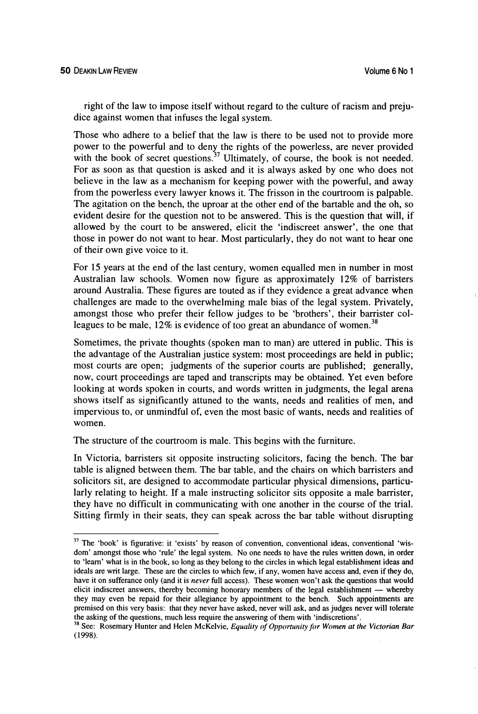right of the law to impose itself without regard to the culture of racism and prejudice against women that infuses the legal system.

Those who adhere to a belief that the law is there to be used not to provide more power to the powerful and to deny the rights of the powerless, are never provided with the book of secret questions.<sup>37</sup> Ultimately, of course, the book is not needed. For as soon as that question is asked and it is always asked by one who does not believe in the law as a mechanism for keeping power with the powerful, and away from the powerless every lawyer knows it. The frisson in the courtroom is palpable. The agitation on the bench, the uproar at the other end of the bartable and the oh, so evident desire for the question not to be answered. This is the question that will, if allowed by the court to be answered, elicit the 'indiscreet answer', the one that those in power do not want to hear. Most particularly, they do not want to hear one of their own give voice to it.

For 15 years at the end of the last century, women equalled men in number in most Australian law schools. Women now figure as approximately 12% of barristers around Australia. These figures are touted as if they evidence a great advance when challenges are made to the overwhelming male bias of the legal system. Privately, amongst those who prefer their fellow judges to be 'brothers', their barrister colleagues to be male,  $12\%$  is evidence of too great an abundance of women.<sup>38</sup>

Sometimes, the private thoughts (spoken man to man) are uttered in public. This is the advantage of the Australian justice system: most proceedings are held in public; most courts are open; judgments of the superior courts are published; generally, now, court proceedings are taped and transcripts may be obtained. Yet even before looking at words spoken in courts, and words written in judgments, the legal arena shows itself as significantly attuned to the wants, needs and realities of men, and impervious to, or unmindful of, even the most basic of wants, needs and realities of women.

The structure of the courtroom is male. This begins with the furniture.

In Victoria, barristers sit opposite instructing solicitors, facing the bench. The bar table is aligned between them. The bar table, and the chairs on which barristers and solicitors sit, are designed to accommodate particular physical dimensions, particularly relating to height. If a male instructing solicitor sits opposite a male barrister, they have no difficult in communicating with one another in the course of the trial. Sitting firmly in their seats, they can speak across the bar table without disrupting

<sup>&</sup>lt;sup>37</sup> The 'book' is figurative: it 'exists' by reason of convention, conventional ideas, conventional 'wisdom' amongst those who 'rule' the legal system. No one needs to have the rules written down, in order to 'learn' what is in the book, so long as they belong to the circles in which legal establishment ideas and ideals are writ large. These are the circles to which few, if any, women have access and, even if they do, have it on sufferance only (and it is *never* full access). These women won't ask the questions that would deals are writ large. These are the circles to which few, if any, women have access and, even if they do, have it on sufferance only (and it is *never* full access). These women won't ask the questions that would elicit in they may even be repaid for their allegiance by appointment to the bench. Such appointments **are**  premised on this very basis: that they never have asked, never will ask, and as judges never will tolerate the asking of the questions, much less require the answering of them with 'indiscretions'.

**<sup>38</sup>**See: Rosemary Hunter and Helen McKelvie, *Equality of Opportunity for Women at the Victorian Bar*  (1998).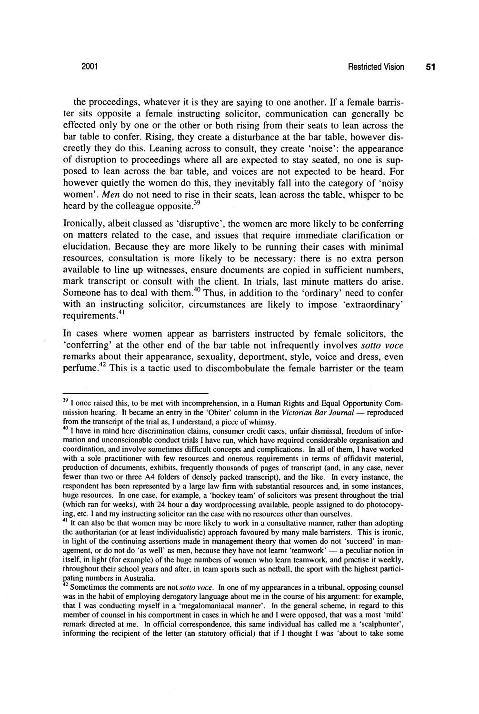the proceedings, whatever it is they are saying to one another. If a female barrister sits opposite a female instructing solicitor, communication can generally be effected only by one or the other or both rising from their seats to lean across the bar table to confer. Rising, they create a disturbance at the bar table, however discreetly they do this. Leaning across to consult, they create 'noise': the appearance of disruption to proceedings where all are expected to stay seated, no one is supposed to lean across the bar table, and voices are not expected to be heard. For however quietly the women do this, they inevitably fall into the category of 'noisy women'. Men do not need to rise in their seats, lean across the table, whisper to be heard by the colleague opposite.<sup>39</sup>

Ironically, albeit classed as 'disruptive', the women are more likely to be conferring on matters related to the case, and issues that require immediate clarification or elucidation. Because they are more likely to be running their cases with minimal resources, consultation is more likely to be necessary: there is no extra person available to line up witnesses, ensure documents are copied in sufficient numbers, mark transcript or consult with the client. In trials, last minute matters do arise. Someone has to deal with them.<sup>40</sup> Thus, in addition to the 'ordinary' need to confer with an instructing solicitor, circumstances are likely to impose 'extraordinary' requirements.<sup>41</sup>

In cases where women appear as barristers instructed by female solicitors, the 'conferring' at the other end of the bar table not infrequently involves *sotto voce*  remarks about their appearance, sexuality, deportment, style, voice and dress, even perfume.<sup>42</sup> This is a tactic used to discombobulate the female barrister or the team

<sup>&</sup>lt;sup>39</sup> I once raised this, to be met with incomprehension, in a Human Rights and Equal Opportunity Com-<br>mission hearing. It became an entry in the 'Obiter' column in the *Victorian Bar Journal* — reproduced<br>from the transmit from the transcript of the trial as, I understand, a piece of whimsy.<br><sup>40</sup> I have in mind here discrimination claims, consumer credit cases, unfair dismissal, freedom of infor-

mation and unconscionable conduct trials I have run, which have required considerable organisation and coordination, and involve sometimes difficult concepts and complications. In all of them, I have worked with a sole practitioner with few resources and onerous requirements in terms of affidavit material, production of documents, exhibits, frequently thousands of pages of transcript (and, in any case, never fewer than two or three A4 folders of densely packed transcript), and the like. In every instance, the respondent has been represented by a large law firm with substantial resources and, in some instances, huge resources. In one case, for example, a 'hockey team' of solicitors was present throughout the trial (which ran for weeks), with 24 hour a day wordprocessing available, people assigned to do photocopy-

ing, etc. I and my instructing solicitor ran the case with no resources other than ourselves. **<sup>41</sup>**It can also be that women may be more likely to work in a consultative manner, rather than adopting the authoritarian (or at least individualistic) approach favoured by many male barristers. This is ironic, in light of the continuing assertions made in management theory that women do not 'succeed' in manthe authoritarian (or at least individualistic) approach favoured by many male barristers. This is ironic, in light of the continuing assertions made in management theory that women do not 'succeed' in management, or do no itself, in light (for example) of the huge numbers of women who learn teamwork, and practise it weekly, throughout their school years and after, in team sports such as netball, the sport with the highest partici-

pating numbers in Australia. **<sup>42</sup>**Sometimes the comments are not **sotto voce.** In one of my appearances in a tribunal, opposing counsel was in the habit of employing derogatory language about me in the course of his argument: for example, that I was conducting myself in a 'megalomaniacal manner'. In the general scheme, in regard to this member of counsel in his comportment in cases in which he and I were opposed, that was a most 'mild' remark directed at me. In official correspondence, this same individual has called me a 'scalphunter', informing the recipient of the letter (an statutory official) that if I thought I was 'about to take some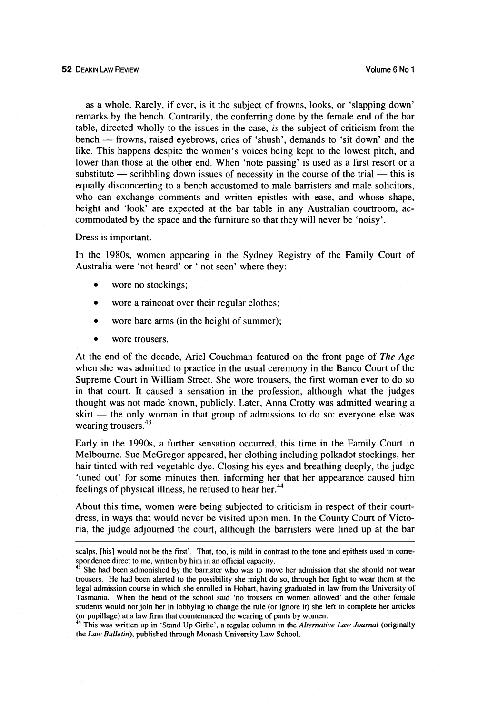as a whole. Rarely, if ever, is it the subject of frowns, looks, or 'slapping down' remarks by the bench. Contrarily, the conferring done by the female end of the bar table, directed wholly to the issues in the case, is the subject of criticism from the remarks by the bench. Contrarily, the conferring done by the female end of the bar<br>table, directed wholly to the issues in the case, *is* the subject of criticism from the<br>bench — frowns, raised eyebrows, cries of 'shush', like. This happens despite the women's voices being kept to the lowest pitch, and lower than those at the other end. When 'note passing' is used as a first resort or a like. This happens despite the women's voices being kept to the lowest pitch, and<br>lower than those at the other end. When 'note passing' is used as a first resort or a<br>substitute — scribbling down issues of necessity in th equally disconcerting to a bench accustomed to male barristers and male solicitors, who can exchange comments and written epistles with ease, and whose shape, height and 'look' are expected at the bar table in any Australian courtroom, accommodated by the space and the furniture so that they will never be 'noisy'.

## Dress is important.

In the 1980s, women appearing in the Sydney Registry of the Family Court of Australia were 'not heard' or ' not seen' where they:

- wore no stockings;
- $\bullet$ wore a raincoat over their regular clothes;
- wore bare arms (in the height of summer);  $\bullet$
- wore trousers.

At the end of the decade, Ariel Couchman featured on the front page of *The Age*  when she was admitted to practice in the usual ceremony in the Banco Court of the Supreme Court in William Street. She wore trousers, the first woman ever to do so in that court. It caused a sensation in the profession, although what the judges thought was not made known, publicly. Later, Anna Crotty was admitted wearing a in that court. It caused a sensation in the profession, although what the judges<br>thought was not made known, publicly. Later, Anna Crotty was admitted wearing a<br>skirt — the only woman in that group of admissions to do so: wearing trousers.<sup>43</sup>

Early in the 1990s, a further sensation occurred, this time in the Family Court in Melbourne. Sue McGregor appeared, her clothing including polkadot stockings, her hair tinted with red vegetable dye. Closing his eyes and breathing deeply, the judge 'tuned out' for some minutes then, informing her that her appearance caused him feelings of physical illness, he refused to hear her.<sup>44</sup>

About this time, women were being subjected to criticism in respect of their courtdress, in ways that would never be visited upon men. In the County Court of Victoria, the judge adjourned the court, although the barristers were lined up at the bar

scalps, [his] would not be the first'. That, too, is mild in contrast to the tone and epithets used in correspondence direct to me, written by him in an official capacity.

She had been admonished by the barrister who was to move her admission that she should not wear trousers. He had been alerted to the possibility she might do so, through her fight to wear them at the legal admission course in which she enrolled in Hobart, having graduated in law from the University of Tasmania. When the head of the school said 'no trousers on women allowed' and the other female students would not join her in lobbying to change the rule (or ignore it) she left to complete her articles

<sup>(</sup>or pupillage) at a law firm that countenanced the wearing of pants by women. **44** This was written up in 'Stand Up Girlie', a regular column in the *Alternative* **Law** *Journal* (originally the *Law Bulletin),* published through Monash University Law School.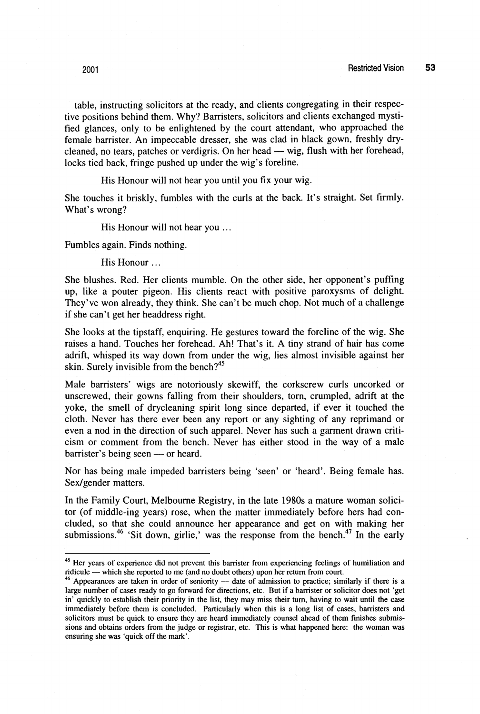table, instructing solicitors at the ready, and clients congregating in their respective positions behind them. Why? Barristers, solicitors and clients exchanged mystified glances, only to be enlightened by the court attendant, who approached the female barrister. An impeccable dresser, she was clad in black gown, freshly dryfied glances, only to be enlightened by the court attendant, who approached the<br>female barrister. An impeccable dresser, she was clad in black gown, freshly dry-<br>cleaned, no tears, patches or verdigris. On her head — wig, locks tied back, fringe pushed up under the wig's foreline.

His Honour will not hear you until you **fix** your wig.

She touches it briskly, fumbles with the curls at the back. It's straight. Set firmly. What's wrong?

His Honour will not hear you ...

Fumbles again. Finds nothing.

His Honour ...

She blushes. Red. Her clients mumble. On the other side, her opponent's puffing up, like a pouter pigeon. His clients react with positive paroxysms of delight. They've won already, they think. She can't be much chop. Not much of a challenge if she can't get her headdress right.

She looks at the tipstaff, enquiring. He gestures toward the foreline of the wig. She raises a hand. Touches her forehead. Ah! That's it. A tiny strand of hair has come adrift, whisped its way down from under the wig, lies almost invisible against her skin. Surely invisible from the bench?<sup>45</sup>

Male barristers' wigs are notoriously skewiff, the corkscrew curls uncorked or unscrewed, their gowns falling from their shoulders, torn, crumpled, adrift at the yoke, the smell of drycleaning spirit long since departed, if ever it touched the cloth. Never has there ever been any report or any sighting of any reprimand or even a nod in the direction of such apparel. Never has such a garment drawn criticism or comment from the bench. Never has either stood in the way of a male even a nod in the direction of such<br>cism or comment from the bench<br>barrister's being seen — or heard.

Nor has being male impeded barristers being 'seen' or 'heard'. Being female has. Sex/gender matters.

In the Family Court, Melbourne Registry, in the late 1980s a mature woman solicitor (of middle-ing years) rose, when the matter immediately before hers had concluded, so that she could announce her appearance and get on with making her submissions.<sup>46</sup> 'Sit down, girlie,' was the response from the bench.<sup>47</sup> In the early

<sup>&</sup>lt;sup>45</sup> Her years of experience did not prevent this barrister from experiencing feelings of humiliation and <sup>45</sup> Her years of experience did not prevent this barrister from experiencing feelings of the reduction of the reported to me (and no doubt others) upon her return from court.

ridicule — which she reported to me (and no doubt others) upon her return from court.<br><sup>46</sup> Appearances are taken in order of seniority — date of admission to practice; similarly if there is a large number of cases ready to go forward for directions, etc. But if a barrister or solicitor does not 'get in' quickly to establish their priority in the list, they may miss their turn, having to wait until the case immediately before them is concluded. Particularly when this is a long list of cases, banisters and solicitors must be quick to ensure they are heard immediately counsel ahead of them finishes submissions and obtains orders from the judge or registrar, etc. This is what happened here: the woman was ensuring she was 'quick off the mark'.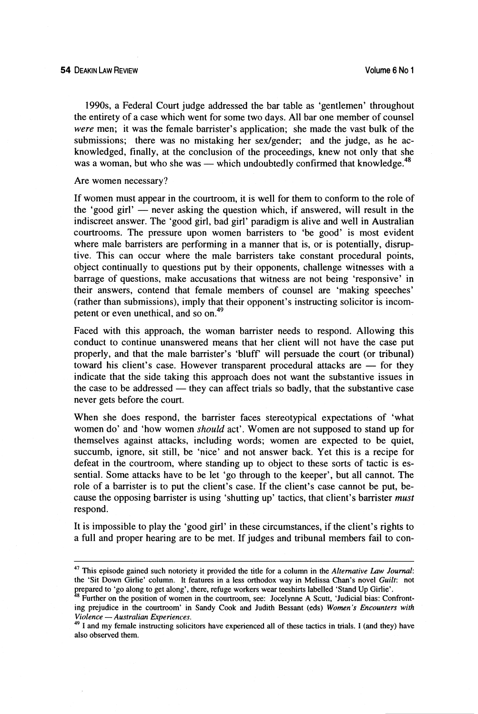1990s, a Federal Court judge addressed the bar table as 'gentlemen' throughout the entirety of a case which went for some two days. All bar one member of counsel **were** men; it was the female barrister's application; she made the vast bulk of the submissions; there was no mistaking her sex/gender; and the judge, as he acknowledged, finally, at the conclusion of the proceedings, knew not only that she was a woman, but who she was — which undoubtedly confirmed that knowledge.<sup>48</sup>

Are women necessary?

If women must appear in the courtroom, it is well for them to conform to the role of If women must appear in the courtroom, it is well for them to conform to the role of<br>the 'good girl' — never asking the question which, if answered, will result in the<br>indicated answer. The 'good sight had sight negotion indiscreet answer. The 'good girl, bad girl' paradigm is alive and well in Australian courtrooms. The pressure upon women barristers to 'be good' is most evident where male barristers are performing in a manner that is, or is potentially, disruptive. This can occur where the male barristers take constant procedural points, object continually to questions put by their opponents, challenge witnesses with a barrage of questions, make accusations that witness are not being 'responsive' in their answers. contend that female members of counsel are 'making speeches' (rather than submissions), imply that their opponent's instructing solicitor is incompetent or even unethical, and so on.<sup>49</sup>

Faced with this approach, the woman barrister needs to respond. Allowing this conduct to continue unanswered means that her client will not have the case put properly, and that the male barrister's 'bluff' will persuade the court (or tribunal) conduct to continue unanswered means that her client will not have the case put<br>properly, and that the male barrister's 'bluff' will persuade the court (or tribunal)<br>toward his client's case. However transparent procedural indicate that the side taking this approach does not want the substantive issues in toward his client's case. However transparent procedural attacks are — for they indicate that the side taking this approach does not want the substantive issues in the case to be addressed — they can affect trials so badly never gets before the court.

When she does respond, the barrister faces stereotypical expectations of 'what women do' and 'how women *should* act'. Women are not supposed to stand up for themselves against attacks, including words; women are expected to be quiet, succumb, ignore, sit still, be 'nice' and not answer back. Yet this is a recipe for defeat in the courtroom, where standing up to object to these sorts of tactic is essential. Some attacks have to be let 'go through to the keeper', but all cannot. The role of a barrister is to put the client's case. If the client's case cannot be put, because the opposing barrister is using 'shutting up' tactics, that client's barrister *must* respond.

It is impossible to play the 'good girl' in these circumstances, if the client's rights to a full and proper hearing are to be met. If judges and tribunal members fail to con-

<sup>&</sup>lt;sup>47</sup> This episode gained such notoriety it provided the title for a column in the *Alternative Law Journal*: the 'Sit Down Girlie' column. It features in a less orthodox way in Melissa Chan's novel *Guilt:* not prepared to 'go along to get along', there, refuge workers wear teeshirts labelled 'Stand Up Girlie'.

Further on the position of women in the courtroom, see: Jocelynne **A** Scutt, 'Judicial bias: Confront-Futuler on the position of women in the courtroom, see: Joceryline A Scutt, Judicial bias: Comforting prejudice in the courtroom' in Sandy Cook and Judith Bessant (eds) *Women's Encounters with Violence* - *Australian Expe* 

<sup>&</sup>lt;sup>49</sup> I and my female instructing solicitors have experienced all of these tactics in trials. I (and they) have also observed them.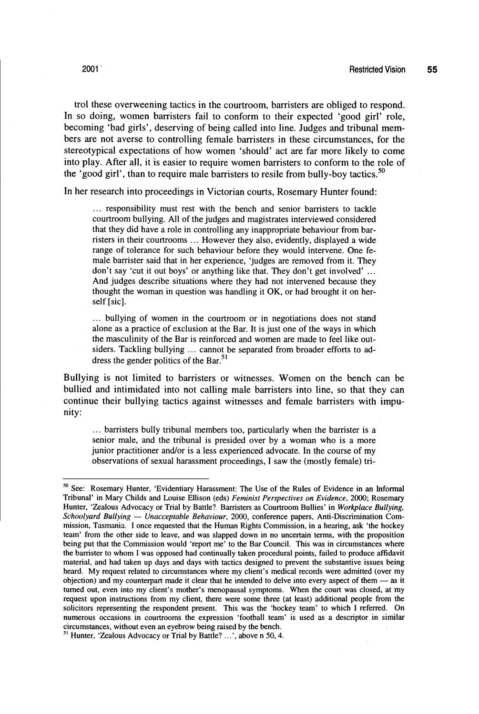trol these overweening tactics in the courtroom, barristers are obliged to respond. In so doing, women barristers fail to conform to their expected 'good girl' role, becoming 'bad girls', deserving of being called into line. Judges and tribunal members are not averse to controlling female barristers in these circumstances, for the stereotypical expectations of how women 'should' act are far more likely to come into play. After all, it is easier to require women barristers to conform to the role of the 'good girl', than to require male barristers to resile from bully-boy tactics.<sup>50</sup>

In her research into proceedings in Victorian courts, Rosemary Hunter found:

... responsibility must rest with the bench and senior barristers to tackle courtroom bullying. All of the judges and magistrates interviewed considered that they did have a role in controlling any inappropriate behaviour from barristers in their courtrooms .. . However they also, evidently, displayed a wide range of tolerance for such behaviour before they would intervene. One female barrister said that in her experience, 'judges are removed from it. They don't say 'cut it out boys' or anything like that. They don't get involved' ... And judges describe situations where they had not intervened because they thought the woman in question was handling it OK, or had brought it on herself [sic].

... bullying of women in the courtroom or in negotiations does not stand alone as a practice of exclusion at the Bar. It is just one of the ways in which the masculinity of the Bar is reinforced and women are made to feel like outsiders. Tackling bullying ... cannot be separated from broader efforts to address the gender politics of the Bar.<sup>51</sup>

Bullying is not limited to barristers or witnesses. Women on the bench can be bullied and intimidated into not calling male barristers into line, so that they can continue their bullying tactics against witnesses and female barristers with impunity:

... barristers bully tribunal members too, particularly when the barrister is a senior male, and the tribunal is presided over by a woman who is a more junior practitioner and/or is a less experienced advocate. In the course of my observations of sexual harassment proceedings, I saw the (mostly female) tri-

**<sup>50</sup>**See: Rosemary Hunter, 'Evidentiary Harassment: The Use of the Rules of Evidence in an Informal Tribunal' in Mary Childs and Louise Ellison (eds) *Feminist Perspectives on Evidence, 2000;* Rosemary Hunter, 'Zealous Advocacy or Trial by Battle? Barristers as Courtroom Bullies' in *Workplace Bullying, Schoolyard Bullying* - *Unacceptable Behaviour,* 2000, conference papers, Anti-Discrimination Commission, Tasmania. I once requested that the Human Rights Commission, in a hearing, ask 'the hockey team' from the other side to leave, and was slapped down in no uncertain terms, with the proposition being put that the Commission would 'report me' to the Bar Council. This was in circumstances where the barrister to whom I was opposed had continually taken procedural points, failed to produce affidavit material, and had taken up days and days with tactics designed to prevent the substantive issues being heard. My request related to circumstances where my client's medical records were admitted (over my objection) and my counterpart made it clear that he intended to delve into every aspect of them - as it turned out, even into my client's mother's menopausal symptoms. When the court was closed, at my request upon instructions from my client, there were some three (at least) additional people from the solicitors representing the respondent present. This was the 'hockey team' to which I referred. On numerous occasions in courtrooms the expression 'football team' is used as a descriptor in similar circumstances, without even an eyebrow being raised by the bench.

<sup>&</sup>lt;sup>51</sup> Hunter, 'Zealous Advocacy or Trial by Battle? ...', above n 50, 4.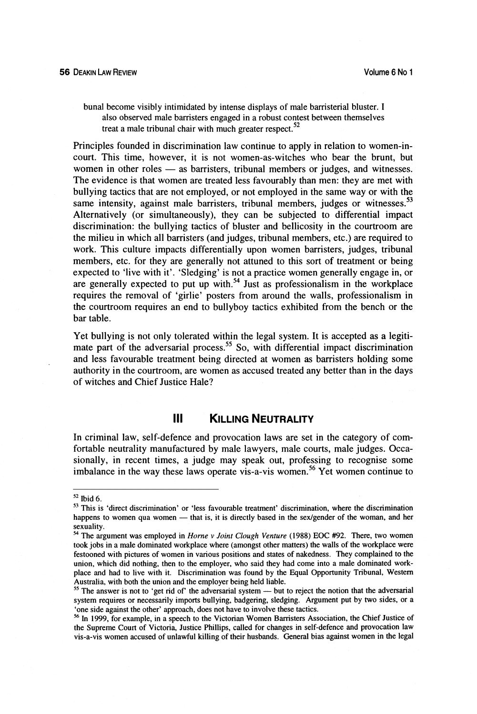bunal become visibly intimidated by intense displays of male barristerial bluster. I also observed male barristers engaged in a robust contest between themselves treat a male tribunal chair with much greater respect. $52$ 

Principles founded in discrimination law continue to apply in relation to women-incourt. This time, however, it is not women-as-witches who bear the brunt, but Principles founded in discrimination law continue to apply in relation to women-in-<br>court. This time, however, it is not women-as-witches who bear the brunt, but<br>women in other roles — as barristers, tribunal members or ju The evidence is that women are treated less favourably than men: they are met with bullying tactics that are not employed, or not employed in the same way or with the same intensity, against male barristers, tribunal members, judges or witnesses.<sup>53</sup> Alternatively (or simultaneously), they can be subjected to differential impact discrimination: the bullying tactics of bluster and bellicosity in the courtroom are the milieu in which all barristers (and judges, tribunal members, etc.) are required to work. This culture impacts differentially upon women barristers, judges, tribunal members, etc. for they are generally not attuned to this sort of treatment or being expected to 'live with it'. 'Sledging' is not a practice women generally engage in, or are generally expected to put up with.<sup>54</sup> Just as professionalism in the workplace requires the removal of 'girlie' posters from around the walls, professionalism in the courtroom requires an end to bullyboy tactics exhibited from the bench or the bar table.

Yet bullying is not only tolerated within the legal system. It is accepted as a legitimate part of the adversarial process.<sup>55</sup> So, with differential impact discrimination and less favourable treatment being directed at women as barristers holding some authority in the courtroom, are women as accused treated any better than in the days of witches and Chief Justice Hale?

#### Ш **KILLING NEUTRALITY**

In criminal law, self-defence and provocation laws are set in the category of comfortable neutrality manufactured by male lawyers, male courts, male judges. Occasionally, in recent times, a judge may speak out, professing to recognise some imbalance in the way these laws operate vis-a-vis women.<sup>56</sup> Yet women continue to

<sup>&</sup>lt;sup>52</sup> Ibid 6.<br><sup>33</sup> This is 'direct discrimination' or 'less favourable treatment' discrimination, where the discrimination <sup>24</sup> Ibid 6.<br><sup>53</sup> This is 'direct discrimination' or 'less favourable treatment' discrimination, where the discrimination<br>happens to women qua women — that is, it is directly based in the sex/gender of the woman, and her

sexuality. " The argument was employed in *Horne* v *Joint Clough Venture* (1988) EOC **#92.** There, two women took jobs in a male dominated workplace where (amongst other matters) the walls of the workplace were festooned with pictures of women in various positions and states of nakedness. They complained to the union, which did nothing, then to the employer, who said they had come into a male dominated workplace and had to live with it. Discrimination was found by the Equal Opportunity Tribunal, Western Australia, with both the union and the employer being held liable. place and had to live with it. Discrimination was found by the Equal Opportunity Tribunal, Western Australia, with both the union and the employer being held liable.<br><sup>55</sup> The answer is not to 'get rid of' the adversarial s

system requires or necessarily imports bullying, badgering, sledging. Argument put by two sides, or a

<sup>&#</sup>x27;one side against the other' approach, does not have to involve these tactics.<br><sup>56</sup> In 1999, for example, in a speech to the Victorian Women Barristers Association, the Chief Justice of the Supreme Court of Victoria, Justice Phillips, called for changes in self-defence and provocation law vis-a-vis women accused of unlawful killing of their husbands. General bias against women in the legal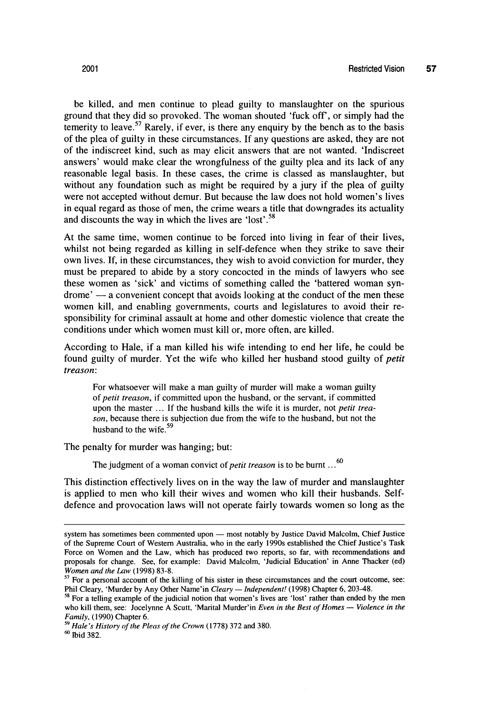be killed, and men continue to plead guilty to manslaughter on the spurious ground that they did so provoked. The woman shouted 'fuck off', or simply had the temerity to leave.<sup>57</sup> Rarely, if ever, is there any enquiry by the bench as to the basis of the plea of guilty in these circumstances. If any questions are asked, they are not of the indiscreet kind, such as may elicit answers that are not wanted. 'Indiscreet answers' would make clear the wrongfulness of the guilty plea and its lack of any reasonable legal basis. In these cases, the crime is classed as manslaughter, but without any foundation such as might be required by a jury if the plea of guilty were not accepted without demur. But because the law does not hold women's lives in equal regard as those of men, the crime wears a title that downgrades its actuality and discounts the way in which the lives are 'lost'.<sup>58</sup>

At the same time, women continue to be forced into living in fear of their lives, whilst not being regarded as killing in self-defence when they strike to save their own lives. If, in these circumstances, they wish to avoid conviction for murder, they must be prepared to abide by a story concocted in the minds of lawyers who see these women as 'sick' and victims of something called the 'battered woman syn $d$ rome'  $\rightarrow$  a convenient concept that avoids looking at the conduct of the men these women kill, and enabling governments, courts and legislatures to avoid their responsibility for criminal assault at home and other domestic violence that create the conditions under which women must kill or, more often, are killed.

According to Hale, if a man killed his wife intending to end her life, he could be found guilty of murder. Yet the wife who killed her husband stood guilty of petit treason:

For whatsoever will make a man guilty of murder will make a woman guilty of *petit treason,* if committed upon the husband, or the servant, if committed upon the master ... If the husband kills the wife it is murder, not *petit treason,* because there is subjection due from the wife to the husband, but not the husband to the wife.<sup>59</sup>

The penalty for murder was hanging; but:

The judgment of a woman convict of *petit treason* is to be burnt ...<sup>60</sup>

This distinction effectively lives on in the way the law of murder and manslaughter is applied to men who kill their wives and women who kill their husbands. Selfdefence and provocation laws will not operate fairly towards women so long as the

system has sometimes been commented upon - most notably by Justice David Malcolm, Chief Justice of the Supreme Court of Western Australia, who in the early 1990s established the Chief Justice's Task Force on Women and the Law, which has produced two reports, so far, with recommendations and proposals for change. See, for example: David Malcolm, 'Judicial Education' in Anne Thacker (ed) *Women and the* **Law** (1998) 83-8.

Moment and the Law (1996) 63-6.<br><sup>57</sup> For a personal account of the killing of his sister in these circumstances and the court outcome, see:<br>Phil Cleary, 'Murder by Any Other Name'in *Cleary — Independent!* (1998) Chapter 6

Phil Cleary, 'Murder by Any Other Name'in *Cleary — Independent!* (1998) Chapter 6, 203-48.<br><sup>58</sup> For a telling example of the judicial notion that women's lives are 'lost' rather than ended by the men<br>who kill them, see: J *Family,* (1990) Chapter 6.

<sup>&</sup>lt;sup>59</sup> Hale's History of the Pleas of the Crown (1778) 372 and 380.  $60$  Ibid 382.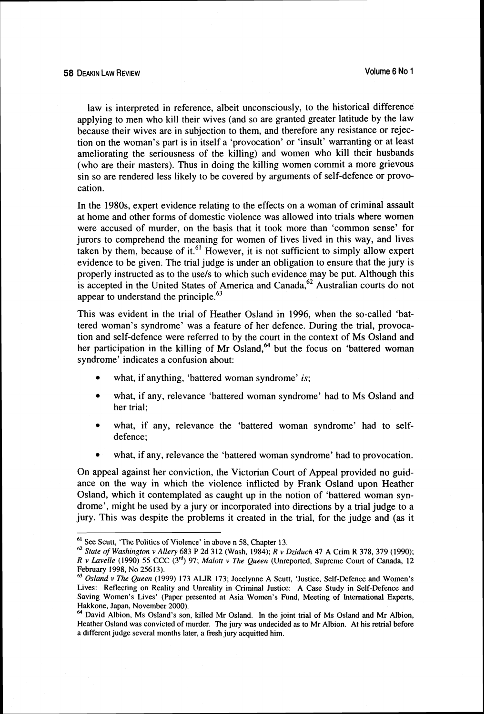law is interpreted in reference, albeit unconsciously, to the historical difference applying to men who kill their wives (and so are granted greater latitude by the law because their wives are in subjection to them, and therefore any resistance or rejection on the woman's part is in itself a 'provocation' or 'insult' warranting or at least ameliorating the seriousness of the killing) and women who kill their husbands (who are their masters). Thus in doing the killing women commit a more grievous sin so are rendered less likely to be covered by arguments of self-defence or provocation.

In the 1980s, expert evidence relating to the effects on a woman of criminal assault at home and other forms of domestic violence was allowed into trials where women were accused of murder, on the basis that it took more than 'common sense' for jurors to comprehend the meaning for women of lives lived in this way, and lives taken by them, because of it.<sup>61</sup> However, it is not sufficient to simply allow expert evidence to be given. The trial judge is under an obligation to ensure that the jury is properly instructed as to the usels to which such evidence may be put. Although this is accepted in the United States of America and Canada,  $62$  Australian courts do not appear to understand the principle. $^{63}$ 

This was evident in the trial of Heather Osland in 1996, when the so-called 'battered woman's syndrome' was a feature of her defence. During the trial, provocation and self-defence were referred to by the court in the context of Ms Osland and her participation in the killing of Mr Osland, $^{64}$  but the focus on 'battered woman syndrome' indicates a confusion about:

- $\bullet$ what, if anything, 'battered woman syndrome' is;
- what, if any, relevance 'battered woman syndrome' had to Ms Osland and her trial;
- what, if any, relevance the 'battered woman syndrome' had to selfdefence;
- what, if any, relevance the 'battered woman syndrome' had to provocation.

On appeal against her conviction, the Victorian Court of Appeal provided no guidance on the way in which the violence inflicted by Frank Osland upon Heather Osland, which it contemplated as caught up in the notion of 'battered woman syndrome', might be used by a jury or incorporated into directions by a trial judge to a jury. This was despite the problems it created in the trial, for the judge and (as it

<sup>&</sup>lt;sup>61</sup> See Scutt, 'The Politics of Violence' in above n 58, Chapter 13.

<sup>&</sup>quot; *Stare of Washington v Allery* 683 *P* 2d 312 (Wash, 1984); R *v Dziduch* 47 A Crim R 378, 379 (1990); R *v Lavelle* (1990) 55 CCC (3'd) 97; *Malort* v *The Queen* (Unreported, Supreme Court of Canada, 12

<sup>&</sup>lt;sup>63</sup> Osland v The Queen (1999) 173 ALJR 173; Jocelynne A Scutt, 'Justice, Self-Defence and Women's Lives: Reflecting on Reality and Unreality in Criminal Justice: A Case Study in Self-Defence and Saving Women's Lives' (Paper presented at Asia Women's Fund, Meeting of International **Experts,**  Hakkone, Japan, November 2000).<br><sup>64</sup> David Albion, Ms Osland's son, killed Mr Osland. In the joint trial of Ms Osland and Mr Albion,

Heather Osland was convicted of murder. The jury was undecided as to Mr Albion. At his retrial before a different judge several months later, a fresh jury acquitted him.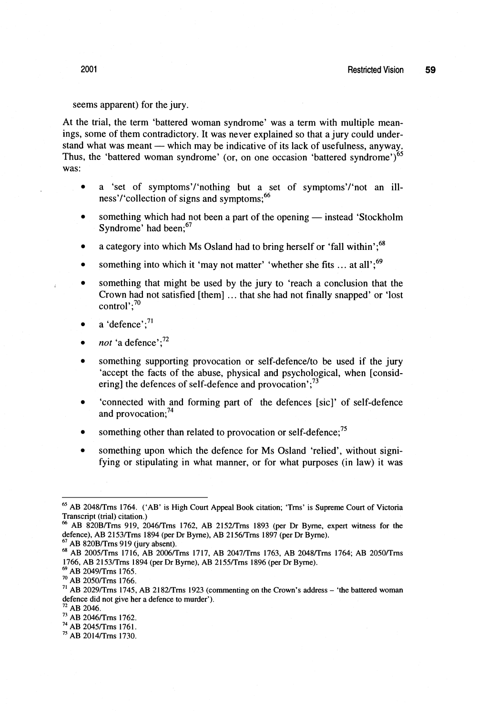## seems apparent) for the jury.

At the trial, the term 'battered woman syndrome' was a term with multiple meanings, some of them contradictory. It was never explained so that a jury could understand what was meant — which may be indicative of its lack of usefulness, anyway. Thus, the 'battered woman syndrome' (or, on one occasion 'battered syndrome')<sup>65</sup> was:

- a 'set of symptoms'/'nothing but a set of symptoms'/'not an illness'/'collection of signs and symptoms:<sup>66</sup>
- something which had not been a part of the opening instead 'Stockholm'  $\bullet$ Syndrome' had been;<sup>67</sup>
- a category into which Ms Osland had to bring herself or 'fall within'; $^{68}$
- something into which it 'may not matter' 'whether she fits  $\dots$  at all'.<sup>69</sup>
- $\bullet$ something that might be used by the jury to 'reach a conclusion that the Crown had not satisfied [them] ... that she had not finally snapped' or 'lost control $\cdot$ :<sup>70</sup>
- a 'defence';<sup>71</sup>
- *not* 'a defence':<sup>72</sup>
- something supporting provocation or self-defencelto be used if the jury 'accept the facts of the abuse, physical and psychological, when [considering] the defences of self-defence and provocation';<sup>73</sup>
- 'connected with and forming part of the defences [sic]' of self-defence and provocation:<sup>74</sup>
- something other than related to provocation or self-defence;<sup>75</sup>
- something upon which the defence for Ms Osland 'relied', without signifying or stipulating in what manner, or for what purposes (in law) it was

<sup>&</sup>lt;sup>65</sup> AB 2048/Trns 1764. ('AB' is High Court Appeal Book citation; 'Trns' is Supreme Court of Victoria Transcript (trial) citation.)

**<sup>M</sup>**AB 820Bflrns 919, 2046lTms 1762, AB 2152lTms 1893 (per Dr Byme, expert witness for the defence), AB 2153/Trns 1894 (per Dr Byrne), AB 2156/Trns 1897 (per Dr Byrne). <sup>67</sup> AB 820B/Trns 919 (jury absent).

<sup>&</sup>lt;sup>68</sup> AB 2005/Trns 1716, AB 2006/Trns 1717, AB 2047/Trns 1763, AB 2048/Trns 1764; AB 2050/Trns 1766, AB 2153/Trns 1894 (per Dr Byrne), AB 2155/Trns 1896 (per Dr Byrne).

**<sup>69</sup>**AB 2049lTms 1765.

**<sup>70</sup>**AB 2050ITms 1766.

<sup>&</sup>lt;sup>71</sup> AB 2029/Trns 1745, AB 2182/Trns 1923 (commenting on the Crown's address - 'the battered woman defence did not give her a defence to murder').

**<sup>72</sup>**AB 2046.

<sup>&</sup>lt;sup>73</sup> AB 2046/Trns 1762.

<sup>&</sup>lt;sup>74</sup> AB 2045/Trns 1761.

<sup>&</sup>lt;sup>75</sup> AB 2014/Trns 1730.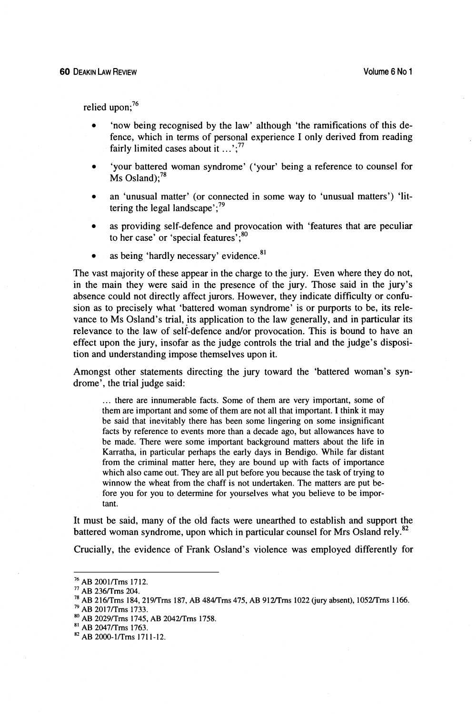relied upon:<sup>76</sup>

- 'now being recognised by the law' although 'the ramifications of this defence, which in terms of personal experience I only derived from reading fairly limited cases about it  $\dots$ :<sup>77</sup>
- 'your battered woman syndrome' ('your' being a reference to counsel for  $\text{Ms}$  Osland):<sup>78</sup>
- an 'unusual matter' (or connected in some way to 'unusual matters') 'littering the legal landscape'; $^{79}$
- as providing self-defence and provocation with 'features that are peculiar to her case' or 'special features'; $^{80}$
- as being 'hardly necessary' evidence. $81$  $\bullet$

The vast majority of these appear in the charge to the jury. Even where they do not, in the main they were said in the presence of the jury. Those said in the jury's absence could not directly affect jurors. However, they indicate difficulty or confusion as to precisely what 'battered woman syndrome' is or purports to be, its relevance to Ms Osland's trial, its application to the law generally, and in particular its relevance to the law of self-defence and/or provocation. This is bound to have an effect upon the jury, insofar as the judge controls the trial and the judge's disposition and understanding impose themselves upon it.

Amongst other statements directing the jury toward the 'battered woman's syndrome', the trial judge said:

... there are innumerable facts. Some of them are very important, some of them are important and some of them are not all that important. I think it may be said that inevitably there has been some lingering on some insignificant facts by reference to events more than a decade ago, but allowances have to be made. There were some important background matters about the life in Karratha, in particular perhaps the early days in Bendigo. While far distant from the criminal matter here, they are bound up with facts of importance which also came out. They are all put before you because the task of trying to winnow the wheat from the chaff is not undertaken. The matters are put before you for you to determine for yourselves what you believe to be important.

It must be said, many of the old facts were unearthed to establish and support the battered woman syndrome, upon which in particular counsel for Mrs Osland rely.<sup>82</sup>

Crucially, the evidence of Frank Osland's violence was employed differently for

<sup>&</sup>lt;sup>76</sup> AB 2001/Trns 1712.<br><sup>77</sup> AB 236/Trns 204.

<sup>&</sup>lt;sup>78</sup> AB 216/Trns 184, 219/Trns 187, AB 484/Trns 475, AB 912/Trns 1022 (jury absent), 1052/Trns 1166.

**<sup>7</sup>Y AB 2017iTrns 1733.** 

**AB 2029JTrns 1745, AB 20421Trns 1758.** 

**AB 2047iTms 1763.** 

**AB 2000- l/Trns 17 1 1** - **12.**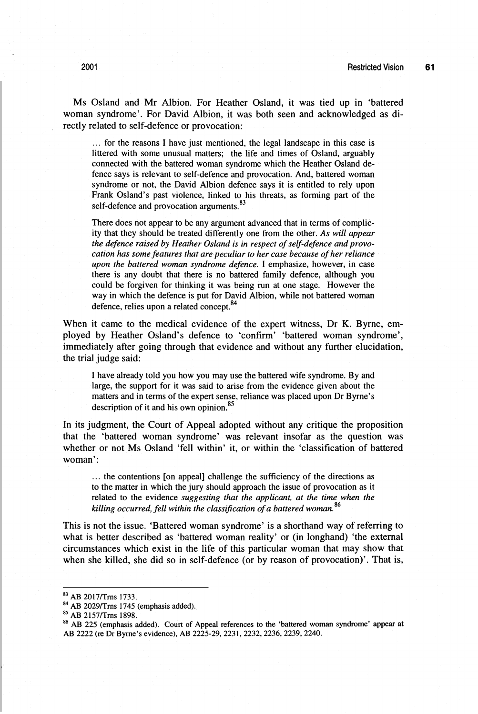Ms Osland and Mr Albion. For Heather Osland, it was tied up in 'battered woman syndrome'. For David Albion, it was both seen and acknowledged as directly related to self-defence or provocation:

... for the reasons I have just mentioned, the legal landscape in this case is littered with some unusual matters; the life and times of Osland, arguably connected with the battered woman syndrome which the Heather Osland defence says is relevant to self-defence and provocation. And, battered woman syndrome or not, the David Albion defence says it is entitled to rely upon Frank Osland's past violence, linked to his threats, as forming part of the self-defence and provocation arguments.<sup>83</sup>

There does not appear to be any argument advanced that in terms of complicity that they should be treated differently one from the other. *As will appear the defence raised by Heather Osland is in respect of self-defence and provocation has some features that are peculiar to her case because of her reliance upon the battered woman syndrome defence*. I emphasize, however, in case there is any doubt that there is no battered family defence, although you could be forgiven for thinking it was being run at one stage. However the way in which the defence is put for David Albion, while not battered woman defence, relies upon a related concept.<sup>84</sup>

When it came to the medical evidence of the expert witness, Dr K. Byrne, employed by Heather Osland's defence to 'confirm' 'battered woman syndrome', immediately after going through that evidence and without any further elucidation, the trial judge said:

I have already told you how you may use the battered wife syndrome. By and large, the support for it was said to arise from the evidence given about the matters and in terms of the expert sense, reliance was placed upon Dr Byrne's description of it and his own opinion.<sup>85</sup>

In its judgment, the Court of Appeal adopted without any critique the proposition that the 'battered woman syndrome' was relevant insofar as the question was whether or not Ms Osland 'fell within' it, or within the 'classification of battered woman':

... the contentions [on appeal] challenge the sufficiency of the directions as to the matter in which the jury should approach the issue of provocation as it related to the evidence *suggesting that the applicant, at the time when the killing occurred, fell within the classification of a battered woman.*<sup>86</sup>

This is not the issue. 'Battered woman syndrome' is a shorthand way of referring to what is better described as 'battered woman reality' or (in longhand) 'the external circumstances which exist in the life of this particular woman that may show that when she killed, she did so in self-defence (or by reason of provocation)'. That is,

<sup>83</sup> AB 2017/Trns 1733.

<sup>84</sup> AB 2029/Trns 1745 (emphasis added).

<sup>85</sup> AB 2157/Trns 1898.

**<sup>80</sup>**AB 225 (emphasis added). Court of Appeal references to the 'battered woman syndrome' **appear** at AB 2222 (re Dr Byrne's evidence), AB 2225-29, 2231, 2232, 2236, 2239, 2240.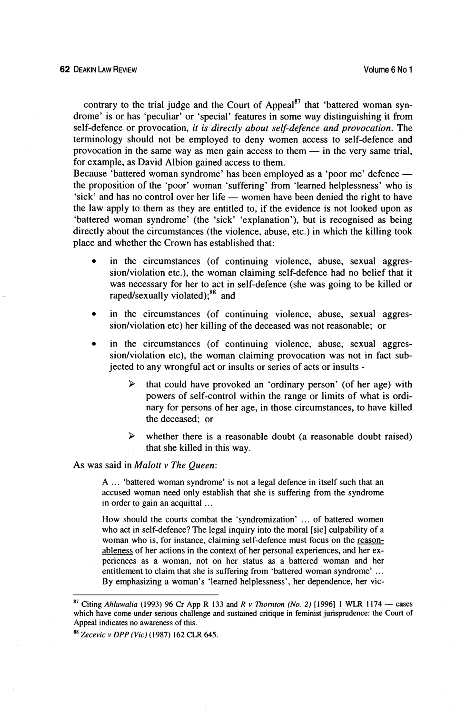contrary to the trial judge and the Court of Appeal<sup>87</sup> that 'battered woman syndrome' is or has 'peculiar' or 'special' features in some way distinguishing it from self-defence or provocation, *it is directly about self-defence and provocation.* The terminology should not be employed to deny women access to self-defence and self-defence or provocation, *it is directly about self-defence and provocation*. The terminology should not be employed to deny women access to self-defence and provocation in the same way as men gain access to them — in for example, as David Albion gained access to them. provocation in the same way as men gain access to them — in the very same trial, for example, as David Albion gained access to them.<br>Because 'battered woman syndrome' has been employed as a 'poor me' defence —

the proposition of the 'poor' woman 'suffering' from 'learned helplessness' who is Because 'battered woman syndrome' has been employed as a 'poor me' defence ---<br>the proposition of the 'poor' woman 'suffering' from 'learned helplessness' who is<br>'sick' and has no control over her life --- women have been the law apply to them as they are entitled to, if the evidence is not looked upon as 'battered woman syndrome' (the 'sick' 'explanation'), but is recognised as being directly about the circumstances (the violence, abuse, etc.) in which the killing took place and whether the Crown has established that:

- in the circumstances (of continuing violence, abuse, sexual aggressionlviolation etc.), the woman claiming self-defence had no belief that it was necessary for her to act in self-defence (she was going to be killed or raped/sexually violated);<sup>88</sup> and
- in the circumstances (of continuing violence, abuse, sexual aggression/violation etc) her killing of the deceased was not reasonable; or
- in the circumstances (of continuing violence, abuse, sexual aggression/violation etc), the woman claiming provocation was not in fact subjected to any wrongful act or insults or series of acts or insults -
	- $\blacktriangleleft$ that could have provoked an 'ordinary person' (of her age) with powers of self-control within the range or limits of what is ordinary for persons of her age, in those circumstances, to have killed the deceased; or
	- **P** whether there is a reasonable doubt (a reasonable doubt raised) that she killed in this way.

## As was said in *Malott* v *The Queen:*

A .. . 'battered woman syndrome' is not a legal defence in itself such that an accused woman need only establish that she is suffering from the syndrome in order to gain an acquittal ...

How should the courts combat the 'syndromization' ... of battered women who act in self-defence? The legal inquiry into the moral [sic] culpability of a woman who is, for instance, claiming self-defence must focus on the reasonableness of her actions in the context of her personal experiences, and her experiences as a woman, not on her status as a battered woman and her entitlement to claim that she is suffering from 'battered woman syndrome' ... By emphasizing a woman's 'learned helplessness', her dependence, her vic-

*Zecevic v* **DPP** *(Vic)* (1987) 162 CLR 645.

<sup>&</sup>lt;sup>87</sup> Citing *Ahluwalia* (1993) 96 Cr App R 133 and R *v Thornton (No. 2)* [1996] 1 WLR 1174 — cases which have come under serious challenge and sustained critique in feminist jurisprudence: the Court of Appeal indicates no awareness of this.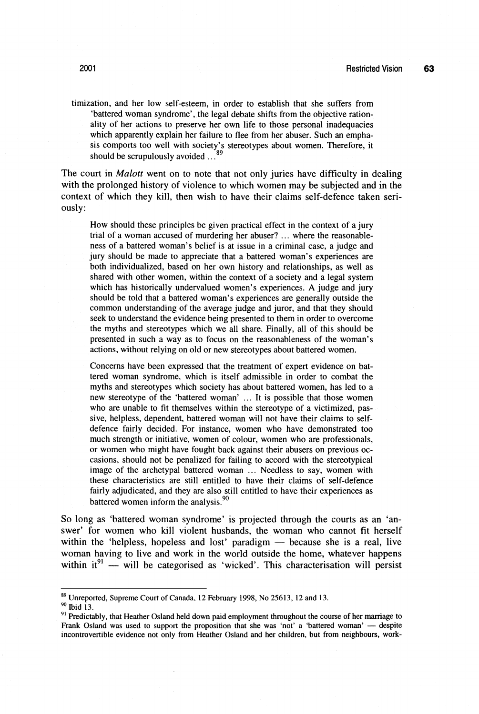timization, and her low self-esteem, in order to establish that she suffers from 'battered woman syndrome', the legal debate shifts from the objective rationality of her actions to preserve her own life to those personal inadequacies which apparently explain her failure to flee from her abuser. Such an emphasis comports too well with society's stereotypes about women. Therefore, it should be scrupulously avoided ... 89

The court in *Malott* went on to note that not only juries have difficulty in dealing with the prolonged history of violence to which women may be subjected and in the context of which they kill, then wish to have their claims self-defence taken seriously:

How should these principles be given practical effect in the context of a jury trial of a woman accused of murdering her abuser? ... where the reasonableness of a battered woman's belief is at issue in a criminal case, a judge and jury should be made to appreciate that a battered woman's experiences are both individualized, based on her own history and relationships, as well as shared with other women, within the context of a society and a legal system which has historically undervalued women's experiences. **A** judge and jury should be told that a battered woman's experiences are generally outside the common understanding of the average judge and juror, and that they should seek to understand the evidence being presented to them in order to overcome the myths and stereotypes which we all share. Finally, all of this should be presented in such a way as to focus on the reasonableness of the woman's actions, without relying on old or new stereotypes about battered women.

Concerns have been expressed that the treatment of expert evidence on battered woman syndrome, which is itself admissible in order to combat the myths and stereotypes which society has about battered women, has led to a new stereotype of the 'battered woman' ... It is possible that those women who are unable to fit themselves within the stereotype of a victimized, passive, helpless, dependent, battered woman will not have their claims to selfdefence fairly decided. For instance, women who have demonstrated too much strength or initiative, women of colour, women who are professionals, or women who might have fought back against their abusers on previous occasions, should not be penalized for failing to accord with the stereotypical image of the archetypal battered woman ... Needless to say, women with these characteristics are still entitled to have their claims of self-defence fairly adjudicated, and they are also still entitled to have their experiences as battered women inform the analysis.<sup>90</sup>

So long as 'battered woman syndrome' is projected through the courts as an 'answer' for women who kill violent husbands, the woman who cannot fit herself within the 'helpless, hopeless and lost' paradigm  $-$  because she is a real, live woman having to live and work in the world outside the home, whatever happens within  $it^{91}$  - will be categorised as 'wicked'. This characterisation will persist

 $^{89}$  Unreported, Supreme Court of Canada, 12 February 1998, No 25613, 12 and 13.  $^{90}$  Ibid 13.

Predictably, that Heather Osland held down paid employment throughout the course of her marriage to Frank Osland was used to support the down paid employment throughout the course of her marriage to<br>
Frank Osland was used to support the proposition that she was 'not' a 'battered woman' — despite<br>
Frank Osland she wide a incontrovertible evidence not only from Heather Osland and her children, but from neighbours, **work-**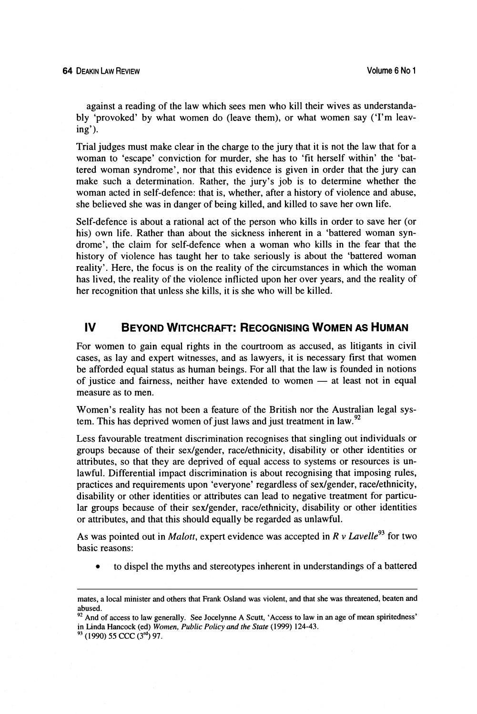against a reading of the law which sees men who kill their wives as understandably 'provoked' by what women do (leave them), or what women say ('I'm leaving').

Trial judges must make clear in the charge to the jury that it is not the law that for a woman to 'escape' conviction for murder, she has to 'fit herself within' the 'battered woman syndrome', nor that this evidence is given in order that the jury can make such a determination. Rather, the jury's job is to determine whether the woman acted in self-defence: that is, whether, after a history of violence and abuse, she believed she was in danger of being killed, and killed to save her own life.

Self-defence is about a rational act of the person who kills in order to save her (or his) own life. Rather than about the sickness inherent in a 'battered woman syndrome', the claim for self-defence when a woman who kills in the fear that the history of violence has taught her to take seriously is about the 'battered woman reality'. Here, the focus is on the reality of the circumstances in which the woman has lived, the reality of the violence inflicted upon her over years, and the reality of her recognition that unless she kills, it is she who will be killed.

#### $\mathbf{I}$ **BEYOND WITCHCRAFT: RECOGNISING WOMEN AS HUMAN**

For women to gain equal rights in the courtroom as accused, as litigants in civil cases, as lay and expert witnesses, and as lawyers, it is necessary first that women be afforded equal status as human beings. For all that the law is founded in notions cases, as lay and expert witnesses, and as lawyers, it is necessary first that women<br>be afforded equal status as human beings. For all that the law is founded in notions<br>of justice and fairness, neither have extended to wo measure as to men.

Women's reality has not been a feature of the British nor the Australian legal system. This has deprived women of just laws and just treatment in law.<sup>92</sup>

Less favourable treatment discrimination recognises that singling out individuals or groups because of their sexlgender, racelethnicity, disability or other identities or attributes, so that they are deprived of equal access to systems or resources is unlawful. Differential impact discrimination is about recognising that imposing rules, practices and requirements upon 'everyone' regardless of sex/gender, race/ethnicity, disability or other identities or attributes can lead to negative treatment for particular groups because of their sex/gender, race/ethnicity, disability or other identities or attributes, and that this should equally be regarded as unlawful.

As was pointed out in *Malott*, expert evidence was accepted in  $R v$  *Lavelle*<sup>93</sup> for two basic reasons:

to dispel the myths and stereotypes inherent in understandings of a battered

mates, a local minister and others that Frank Osland was violent, and that she was threatened, beaten and abused.

**<sup>92</sup>**And of access to law generally. See Jocelynne **A** Scutt, 'Access to law in an age of mean spiritedness' in Linda Hancock (ed) *Women, Public Policy and the State* (1999) 124-43.

**<sup>93</sup>** (1990) 55 CCC **(3rd)** 97.